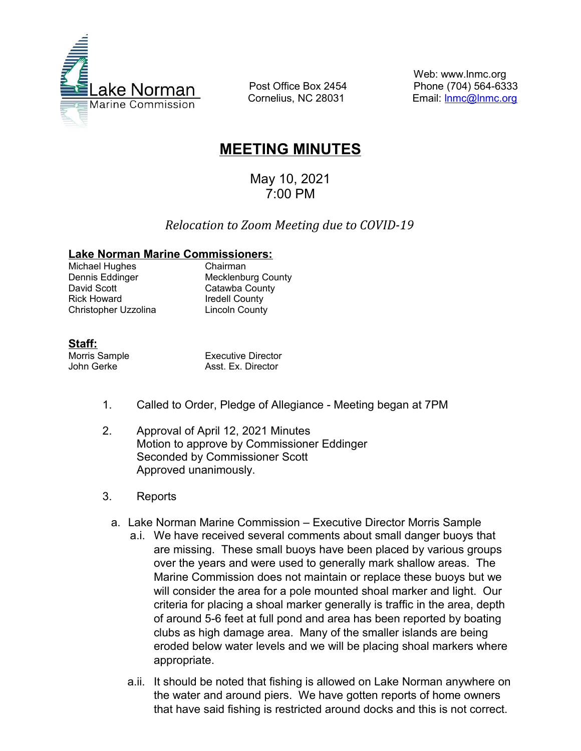

 Post Office Box 2454 Cornelius, NC 28031

Web: www.lnmc.org Phone (704) 564-6333 Email: [lnmc@lnmc.org](mailto:lnmc@lnmc.org)

# **MEETING MINUTES**

May 10, 2021 7:00 PM

## *Relocation to Zoom Meeting due to COVID-19*

#### **Lake Norman Marine Commissioners:**

Michael Hughes<br>
Dennis Eddinger<br>
Mecklenbu David Scott Catawba County Rick Howard **Iredell County** Christopher Uzzolina Lincoln County

**Mecklenburg County** 

### **Staff:**

Morris Sample **Executive Director** John Gerke **Asst. Ex. Director** 

- 1. Called to Order, Pledge of Allegiance Meeting began at 7PM
- 2. Approval of April 12, 2021 Minutes Motion to approve by Commissioner Eddinger Seconded by Commissioner Scott Approved unanimously.
- 3. Reports
	- a. Lake Norman Marine Commission Executive Director Morris Sample
		- a.i. We have received several comments about small danger buoys that are missing. These small buoys have been placed by various groups over the years and were used to generally mark shallow areas. The Marine Commission does not maintain or replace these buoys but we will consider the area for a pole mounted shoal marker and light. Our criteria for placing a shoal marker generally is traffic in the area, depth of around 5-6 feet at full pond and area has been reported by boating clubs as high damage area. Many of the smaller islands are being eroded below water levels and we will be placing shoal markers where appropriate.
		- a.ii. It should be noted that fishing is allowed on Lake Norman anywhere on the water and around piers. We have gotten reports of home owners that have said fishing is restricted around docks and this is not correct.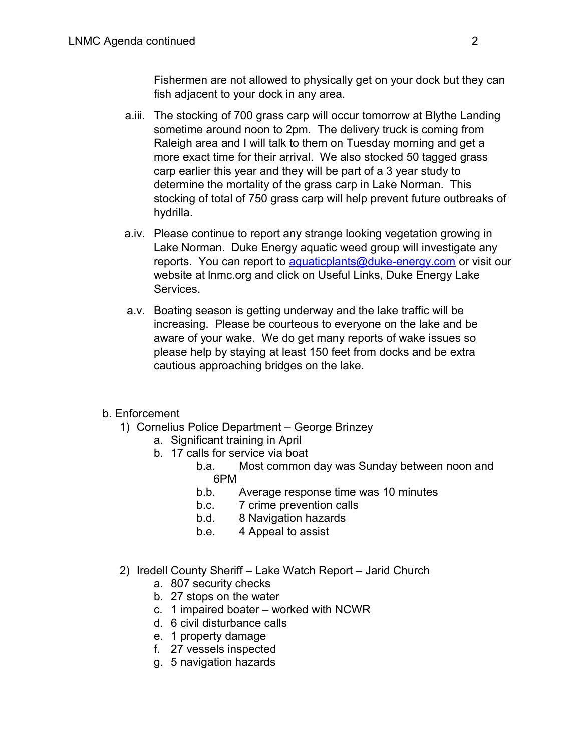Fishermen are not allowed to physically get on your dock but they can fish adjacent to your dock in any area.

- a.iii. The stocking of 700 grass carp will occur tomorrow at Blythe Landing sometime around noon to 2pm. The delivery truck is coming from Raleigh area and I will talk to them on Tuesday morning and get a more exact time for their arrival. We also stocked 50 tagged grass carp earlier this year and they will be part of a 3 year study to determine the mortality of the grass carp in Lake Norman. This stocking of total of 750 grass carp will help prevent future outbreaks of hydrilla.
- a.iv. Please continue to report any strange looking vegetation growing in Lake Norman. Duke Energy aquatic weed group will investigate any reports. You can report to [aquaticplants@duke-energy.com](mailto:aquaticplants@duke-energy.com) or visit our website at lnmc.org and click on Useful Links, Duke Energy Lake Services.
- a.v. Boating season is getting underway and the lake traffic will be increasing. Please be courteous to everyone on the lake and be aware of your wake. We do get many reports of wake issues so please help by staying at least 150 feet from docks and be extra cautious approaching bridges on the lake.

## b. Enforcement

- 1) Cornelius Police Department George Brinzey
	- a. Significant training in April
	- b. 17 calls for service via boat
		- b.a. Most common day was Sunday between noon and 6PM<br>b.b.
		- b.b. Average response time was 10 minutes<br>b.c. 7 crime prevention calls
		- b.c. 7 crime prevention calls
		- b.d. 8 Navigation hazards
		- b.e. 4 Appeal to assist
- 2) Iredell County Sheriff Lake Watch Report Jarid Church
	- a. 807 security checks
	- b. 27 stops on the water
	- c. 1 impaired boater worked with NCWR
	- d. 6 civil disturbance calls
	- e. 1 property damage
	- f. 27 vessels inspected
	- g. 5 navigation hazards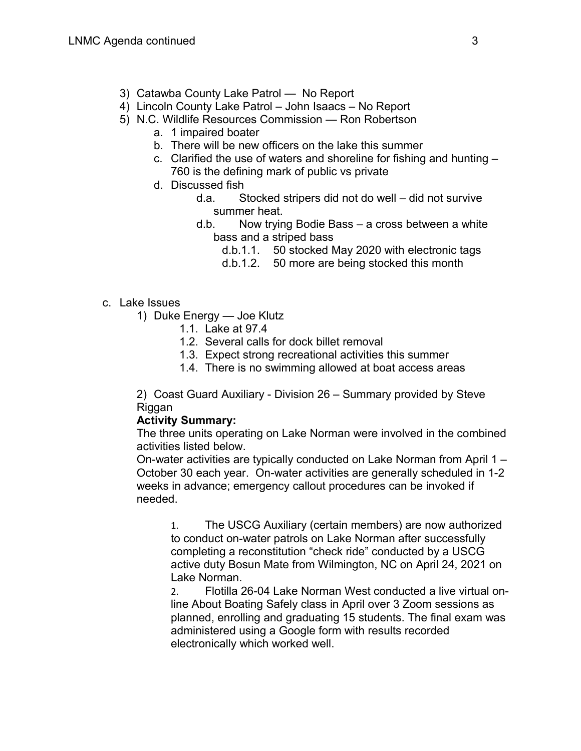- 3) Catawba County Lake Patrol No Report
- 4) Lincoln County Lake Patrol John Isaacs No Report
- 5) N.C. Wildlife Resources Commission Ron Robertson
	- a. 1 impaired boater
	- b. There will be new officers on the lake this summer
	- c. Clarified the use of waters and shoreline for fishing and hunting 760 is the defining mark of public vs private
	- d. Discussed fish
		- d.a. Stocked stripers did not do well did not survive summer heat.
		- d.b. Now trying Bodie Bass a cross between a white bass and a striped bass
			- d.b.1.1. 50 stocked May 2020 with electronic tags
			- d.b.1.2. 50 more are being stocked this month
- c. Lake Issues
	- 1) Duke Energy Joe Klutz
		- 1.1. Lake at 97.4
		- 1.2. Several calls for dock billet removal
		- 1.3. Expect strong recreational activities this summer
		- 1.4. There is no swimming allowed at boat access areas

2) Coast Guard Auxiliary - Division 26 – Summary provided by Steve **Riggan** 

#### **Activity Summary:**

The three units operating on Lake Norman were involved in the combined activities listed below.

On-water activities are typically conducted on Lake Norman from April 1 – October 30 each year. On-water activities are generally scheduled in 1-2 weeks in advance; emergency callout procedures can be invoked if needed.

1. The USCG Auxiliary (certain members) are now authorized to conduct on-water patrols on Lake Norman after successfully completing a reconstitution "check ride" conducted by a USCG active duty Bosun Mate from Wilmington, NC on April 24, 2021 on Lake Norman.

2. Flotilla 26-04 Lake Norman West conducted a live virtual online About Boating Safely class in April over 3 Zoom sessions as planned, enrolling and graduating 15 students. The final exam was administered using a Google form with results recorded electronically which worked well.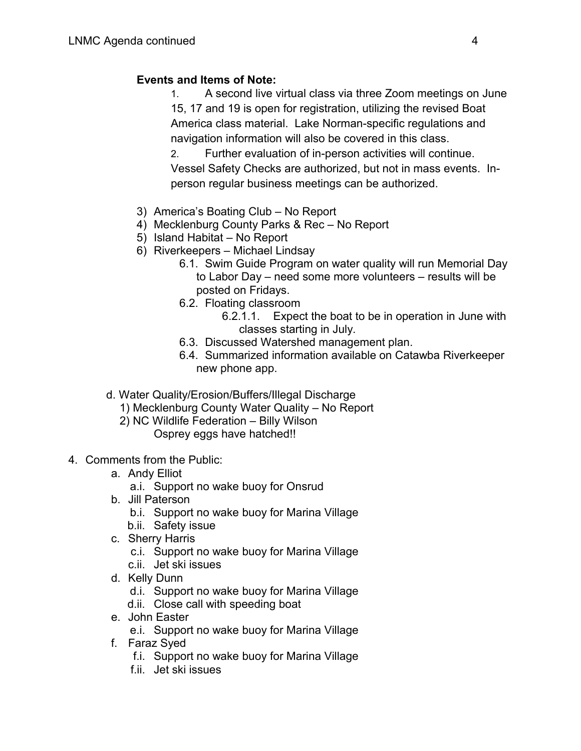## **Events and Items of Note:**

1. A second live virtual class via three Zoom meetings on June 15, 17 and 19 is open for registration, utilizing the revised Boat America class material. Lake Norman-specific regulations and navigation information will also be covered in this class.

2. Further evaluation of in-person activities will continue. Vessel Safety Checks are authorized, but not in mass events. Inperson regular business meetings can be authorized.

- 3) America's Boating Club No Report
- 4) Mecklenburg County Parks & Rec No Report
- 5) Island Habitat No Report
- 6) Riverkeepers Michael Lindsay
	- 6.1. Swim Guide Program on water quality will run Memorial Day to Labor Day – need some more volunteers – results will be posted on Fridays.
	- 6.2. Floating classroom
		- 6.2.1.1. Expect the boat to be in operation in June with classes starting in July.
	- 6.3. Discussed Watershed management plan.
	- 6.4. Summarized information available on Catawba Riverkeeper new phone app.
- d. Water Quality/Erosion/Buffers/Illegal Discharge
	- 1) Mecklenburg County Water Quality No Report
	- 2) NC Wildlife Federation Billy Wilson
		- Osprey eggs have hatched!!
- 4. Comments from the Public:
	- a. Andy Elliot
		- a.i. Support no wake buoy for Onsrud
	- b. Jill Paterson
		- b.i. Support no wake buoy for Marina Village
		- b.ii. Safety issue
	- c. Sherry Harris
		- c.i. Support no wake buoy for Marina Village
		- c.ii. Jet ski issues
	- d. Kelly Dunn
		- d.i. Support no wake buoy for Marina Village
		- d.ii. Close call with speeding boat
	- e. John Easter
		- e.i. Support no wake buoy for Marina Village
	- f. Faraz Syed
		- f.i. Support no wake buoy for Marina Village
		- f.ii. Jet ski issues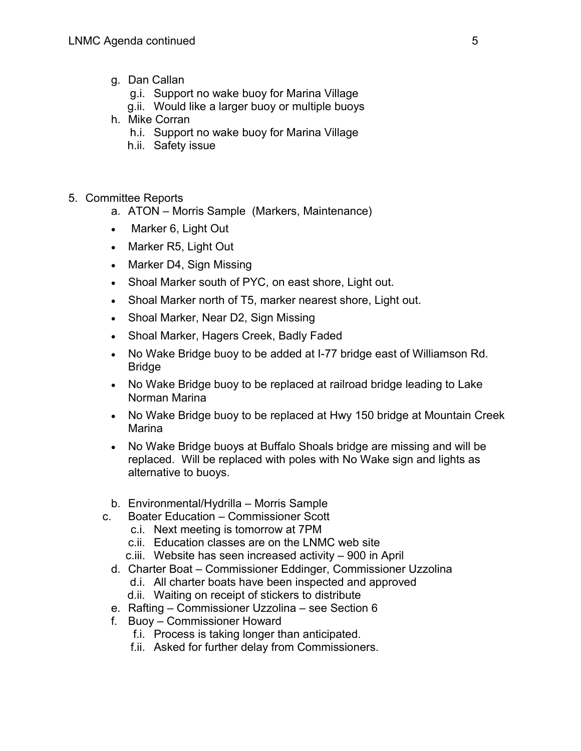- g. Dan Callan
	- g.i. Support no wake buoy for Marina Village
	- g.ii. Would like a larger buoy or multiple buoys
- h. Mike Corran
	- h.i. Support no wake buoy for Marina Village
	- h.ii. Safety issue
- 5. Committee Reports
	- a. ATON Morris Sample (Markers, Maintenance)
	- Marker 6, Light Out
	- Marker R5, Light Out
	- Marker D4, Sign Missing
	- Shoal Marker south of PYC, on east shore, Light out.
	- Shoal Marker north of T5, marker nearest shore, Light out.
	- Shoal Marker, Near D2, Sign Missing
	- Shoal Marker, Hagers Creek, Badly Faded
	- No Wake Bridge buoy to be added at I-77 bridge east of Williamson Rd. Bridge
	- No Wake Bridge buoy to be replaced at railroad bridge leading to Lake Norman Marina
	- No Wake Bridge buoy to be replaced at Hwy 150 bridge at Mountain Creek Marina
	- No Wake Bridge buoys at Buffalo Shoals bridge are missing and will be replaced. Will be replaced with poles with No Wake sign and lights as alternative to buoys.
	- b. Environmental/Hydrilla Morris Sample
	- c. Boater Education Commissioner Scott
		- c.i. Next meeting is tomorrow at 7PM
		- c.ii. Education classes are on the LNMC web site
		- c.iii. Website has seen increased activity 900 in April
		- d. Charter Boat Commissioner Eddinger, Commissioner Uzzolina
			- d.i. All charter boats have been inspected and approved
			- d.ii. Waiting on receipt of stickers to distribute
		- e. Rafting Commissioner Uzzolina see Section 6
		- f. Buoy Commissioner Howard
			- f.i. Process is taking longer than anticipated.
			- f.ii. Asked for further delay from Commissioners.